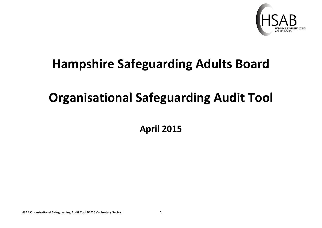

## **Hampshire Safeguarding Adults Board**

## **Organisational Safeguarding Audit Tool**

**April 2015**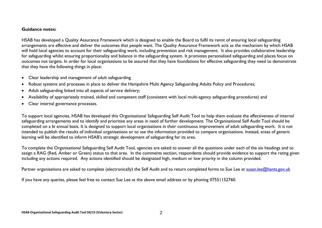## **Guidance notes:**

HSAB has developed a Quality Assurance Framework which is designed to enable the Board to fulfil its remit of ensuring local safeguarding arrangements are effective and deliver the outcomes that people want. The Quality Assurance Framework acts as the mechanism by which HSAB will hold local agencies to account for their safeguarding work, including prevention and risk management. It also provides collaborative leadership for safeguarding whilst ensuring proportionality and balance in the safeguarding system. It promotes personalised safeguarding and places focus on outcomes not targets. In order for local organisations to be assured that they have foundations for effective safeguarding they need to demonstrate that they have the following things in place:

- Clear leadership and management of adult safeguarding
- Robust systems and processes in place to deliver the Hampshire Multi Agency Safeguarding Adults Policy and Procedures;
- Adult safeguarding linked into all aspects of service delivery;
- Availability of appropriately trained, skilled and competent staff (consistent with local multi-agency safeguarding procedures) and
- Clear internal governance processes.

To support local agencies, HSAB has developed this Organisational Safeguarding Self Audit Tool to help them evaluate the effectiveness of internal safeguarding arrangements and to identify and prioritise any areas in need of further development. The Organisational Self Audit Tool should be completed on a bi annual basis. It is designed to support local organisations in their continuous improvement of adult safeguarding work. It is not intended to publish the results of individual organisations or to use the information provided to compare organisations. Instead, areas of generic learning will be identified to inform HSAB's strategic development of safeguarding for its area.

To complete the Organisational Safeguarding Self Audit Tool, agencies are asked to answer all the questions under each of the six headings and to assign a RAG (Red, Amber or Green) status to that area. In the comments section, respondents should provide evidence to support the rating given including any actions required. Any actions identified should be designated high, medium or low priority in the column provided.

Partner organisations are asked to complete (electronically) the Self Audit and to return completed forms to Sue Lee at [susan.lee@hants.gov.uk](mailto:susan.lee@hants.gov.uk)

If you have any queries, please feel free to contact Sue Lee at the above email address or by phoning 07551152760.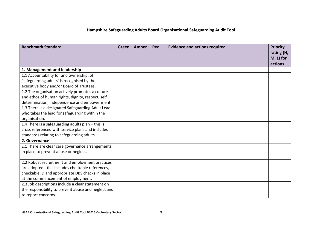## **Hampshire Safeguarding Adults Board Organisational Safeguarding Audit Tool**

| <b>Benchmark Standard</b>                           | Green | <b>Amber</b> | <b>Red</b> | <b>Evidence and actions required</b> | <b>Priority</b><br>rating (H,<br>M, L) for<br>actions |
|-----------------------------------------------------|-------|--------------|------------|--------------------------------------|-------------------------------------------------------|
| 1. Management and leadership                        |       |              |            |                                      |                                                       |
| 1.1 Accountability for and ownership, of            |       |              |            |                                      |                                                       |
| 'safeguarding adults' is recognised by the          |       |              |            |                                      |                                                       |
| executive body and/or Board of Trustees.            |       |              |            |                                      |                                                       |
| 1.2 The organisation actively promotes a culture    |       |              |            |                                      |                                                       |
| and ethos of human rights, dignity, respect, self   |       |              |            |                                      |                                                       |
| determination, independence and empowerment.        |       |              |            |                                      |                                                       |
| 1.3 There is a designated Safeguarding Adult Lead   |       |              |            |                                      |                                                       |
| who takes the lead for safeguarding within the      |       |              |            |                                      |                                                       |
| organisation.                                       |       |              |            |                                      |                                                       |
| 1.4 There is a safeguarding adults plan - this is   |       |              |            |                                      |                                                       |
| cross referenced with service plans and includes    |       |              |            |                                      |                                                       |
| standards relating to safeguarding adults.          |       |              |            |                                      |                                                       |
| 2. Governance                                       |       |              |            |                                      |                                                       |
| 2.1 There are clear care governance arrangements    |       |              |            |                                      |                                                       |
| in place to prevent abuse or neglect.               |       |              |            |                                      |                                                       |
|                                                     |       |              |            |                                      |                                                       |
| 2.2 Robust recruitment and employment practices     |       |              |            |                                      |                                                       |
| are adopted - this includes checkable references,   |       |              |            |                                      |                                                       |
| checkable ID and appropriate DBS checks in place    |       |              |            |                                      |                                                       |
| at the commencement of employment.                  |       |              |            |                                      |                                                       |
| 2.3 Job descriptions include a clear statement on   |       |              |            |                                      |                                                       |
| the responsibility to prevent abuse and neglect and |       |              |            |                                      |                                                       |
| to report concerns.                                 |       |              |            |                                      |                                                       |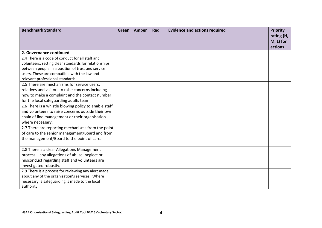| <b>Benchmark Standard</b>                             | Green | Amber | <b>Red</b> | <b>Evidence and actions required</b> | <b>Priority</b><br>rating (H,<br>M, L) for |
|-------------------------------------------------------|-------|-------|------------|--------------------------------------|--------------------------------------------|
|                                                       |       |       |            |                                      | actions                                    |
| 2. Governance continued                               |       |       |            |                                      |                                            |
| 2.4 There is a code of conduct for all staff and      |       |       |            |                                      |                                            |
| volunteers, setting clear standards for relationships |       |       |            |                                      |                                            |
| between people in a position of trust and service     |       |       |            |                                      |                                            |
| users. These are compatible with the law and          |       |       |            |                                      |                                            |
| relevant professional standards.                      |       |       |            |                                      |                                            |
| 2.5 There are mechanisms for service users,           |       |       |            |                                      |                                            |
| relatives and visitors to raise concerns including    |       |       |            |                                      |                                            |
| how to make a complaint and the contact number        |       |       |            |                                      |                                            |
| for the local safeguarding adults team                |       |       |            |                                      |                                            |
| 2.6 There is a whistle blowing policy to enable staff |       |       |            |                                      |                                            |
| and volunteers to raise concerns outside their own    |       |       |            |                                      |                                            |
| chain of line management or their organisation        |       |       |            |                                      |                                            |
| where necessary.                                      |       |       |            |                                      |                                            |
| 2.7 There are reporting mechanisms from the point     |       |       |            |                                      |                                            |
| of care to the senior management/Board and from       |       |       |            |                                      |                                            |
| the management/Board to the point of care.            |       |       |            |                                      |                                            |
|                                                       |       |       |            |                                      |                                            |
| 2.8 There is a clear Allegations Management           |       |       |            |                                      |                                            |
| process - any allegations of abuse, neglect or        |       |       |            |                                      |                                            |
| misconduct regarding staff and volunteers are         |       |       |            |                                      |                                            |
| investigated robustly.                                |       |       |            |                                      |                                            |
| 2.9 There is a process for reviewing any alert made   |       |       |            |                                      |                                            |
| about any of the organisation's services. Where       |       |       |            |                                      |                                            |
| necessary, a safeguarding is made to the local        |       |       |            |                                      |                                            |
| authority.                                            |       |       |            |                                      |                                            |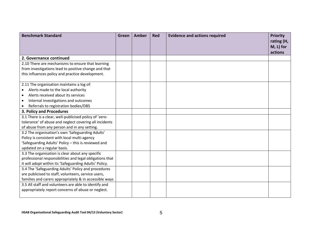| <b>Benchmark Standard</b>                                | Green | <b>Amber</b> | <b>Red</b> | <b>Evidence and actions required</b> | <b>Priority</b><br>rating (H,<br>M, L) for |
|----------------------------------------------------------|-------|--------------|------------|--------------------------------------|--------------------------------------------|
|                                                          |       |              |            |                                      | actions                                    |
| 2. Governance continued                                  |       |              |            |                                      |                                            |
| 2.10 There are mechanisms to ensure that learning        |       |              |            |                                      |                                            |
| from investigations lead to positive change and that     |       |              |            |                                      |                                            |
| this influences policy and practice development.         |       |              |            |                                      |                                            |
| 2.11 The organisation maintains a log of:                |       |              |            |                                      |                                            |
| Alerts made to the local authority                       |       |              |            |                                      |                                            |
| Alerts received about its services                       |       |              |            |                                      |                                            |
| Internal investigations and outcomes                     |       |              |            |                                      |                                            |
| Referrals to registration bodies/DBS                     |       |              |            |                                      |                                            |
| 3. Policy and Procedures                                 |       |              |            |                                      |                                            |
| 3.1 There is a clear, well-publicised policy of 'zero-   |       |              |            |                                      |                                            |
| tolerance' of abuse and neglect covering all incidents   |       |              |            |                                      |                                            |
| of abuse from any person and in any setting.             |       |              |            |                                      |                                            |
| 3.2 The organisation's own 'Safeguarding Adults'         |       |              |            |                                      |                                            |
| Policy is consistent with local multi-agency             |       |              |            |                                      |                                            |
| 'Safeguarding Adults' Policy - this is reviewed and      |       |              |            |                                      |                                            |
| updated on a regular basis.                              |       |              |            |                                      |                                            |
| 3.3 The organisation is clear about any specific         |       |              |            |                                      |                                            |
| professional responsibilities and legal obligations that |       |              |            |                                      |                                            |
| it will adopt within its 'Safeguarding Adults' Policy.   |       |              |            |                                      |                                            |
| 3.4 The 'Safeguarding Adults' Policy and procedures      |       |              |            |                                      |                                            |
| are publicised to staff, volunteers, service users,      |       |              |            |                                      |                                            |
| families and carers appropriately & in accessible ways   |       |              |            |                                      |                                            |
| 3.5 All staff and volunteers are able to identify and    |       |              |            |                                      |                                            |
| appropriately report concerns of abuse or neglect.       |       |              |            |                                      |                                            |
|                                                          |       |              |            |                                      |                                            |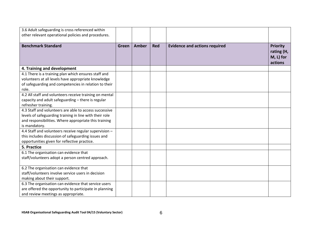| 3.6 Adult safeguarding is cross referenced within<br>other relevant operational policies and procedures.                                                                                    |              |              |            |                                      |                                                       |
|---------------------------------------------------------------------------------------------------------------------------------------------------------------------------------------------|--------------|--------------|------------|--------------------------------------|-------------------------------------------------------|
| <b>Benchmark Standard</b>                                                                                                                                                                   | <b>Green</b> | <b>Amber</b> | <b>Red</b> | <b>Evidence and actions required</b> | <b>Priority</b><br>rating (H,<br>M, L) for<br>actions |
| 4. Training and development                                                                                                                                                                 |              |              |            |                                      |                                                       |
| 4.1 There is a training plan which ensures staff and<br>volunteers at all levels have appropriate knowledge<br>of safeguarding and competencies in relation to their<br>role.               |              |              |            |                                      |                                                       |
| 4.2 All staff and volunteers receive training on mental<br>capacity and adult safeguarding - there is regular<br>refresher training.                                                        |              |              |            |                                      |                                                       |
| 4.3 Staff and volunteers are able to access successive<br>levels of safeguarding training in line with their role<br>and responsibilities. Where appropriate this training<br>is mandatory. |              |              |            |                                      |                                                       |
| 4.4 Staff and volunteers receive regular supervision -<br>this includes discussion of safeguarding issues and<br>opportunities given for reflective practice.                               |              |              |            |                                      |                                                       |
| 5. Practice                                                                                                                                                                                 |              |              |            |                                      |                                                       |
| 6.1 The organisation can evidence that<br>staff/volunteers adopt a person centred approach.                                                                                                 |              |              |            |                                      |                                                       |
| 6.2 The organisation can evidence that<br>staff/volunteers involve service users in decision<br>making about their support.                                                                 |              |              |            |                                      |                                                       |
| 6.3 The organisation can evidence that service users<br>are offered the opportunity to participate in planning<br>and review meetings as appropriate.                                       |              |              |            |                                      |                                                       |